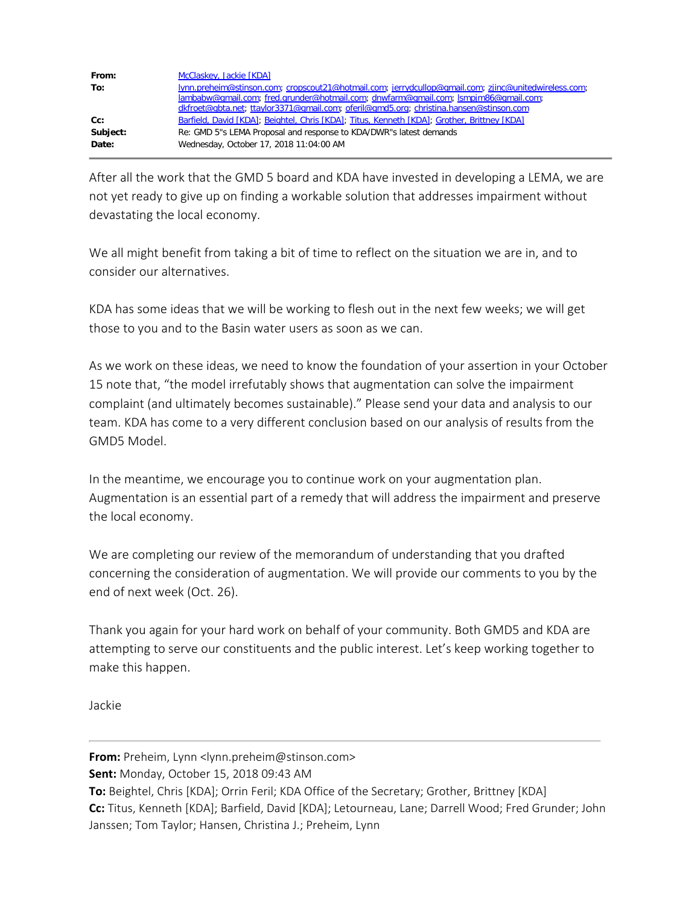| From:    | McClaskey, Jackie [KDA]                                                                                                                                                                     |
|----------|---------------------------------------------------------------------------------------------------------------------------------------------------------------------------------------------|
| To:      | Iynn.preheim@stinson.com; cropscout21@hotmail.com; jerrydcullop@gmail.com; zjinc@unitedwireless.com;<br>lambabw@gmail.com; fred.grunder@hotmail.com; dnwfarm@gmail.com; lsmpjm86@gmail.com; |
|          | dkfroet@qbta.net; ttaylor3371@qmail.com; oferil@qmd5.org; christina.hansen@stinson.com                                                                                                      |
| $Cc$ :   | Barfield, David [KDA]; Beightel, Chris [KDA]; Titus, Kenneth [KDA]; Grother, Brittney [KDA]                                                                                                 |
| Subject: | Re: GMD 5"s LEMA Proposal and response to KDA/DWR"s latest demands                                                                                                                          |
| Date:    | Wednesday, October 17, 2018 11:04:00 AM                                                                                                                                                     |

After all the work that the GMD 5 board and KDA have invested in developing a LEMA, we are not yet ready to give up on finding a workable solution that addresses impairment without devastating the local economy.

We all might benefit from taking a bit of time to reflect on the situation we are in, and to consider our alternatives.

KDA has some ideas that we will be working to flesh out in the next few weeks; we will get those to you and to the Basin water users as soon as we can.

As we work on these ideas, we need to know the foundation of your assertion in your October 15 note that, "the model irrefutably shows that augmentation can solve the impairment complaint (and ultimately becomes sustainable)." Please send your data and analysis to our team. KDA has come to a very different conclusion based on our analysis of results from the GMD5 Model.

In the meantime, we encourage you to continue work on your augmentation plan. Augmentation is an essential part of a remedy that will address the impairment and preserve the local economy.

We are completing our review of the memorandum of understanding that you drafted concerning the consideration of augmentation. We will provide our comments to you by the end of next week (Oct. 26).

Thank you again for your hard work on behalf of your community. Both GMD5 and KDA are attempting to serve our constituents and the public interest. Let's keep working together to make this happen.

Jackie

**From:** Preheim, Lynn <lynn.preheim@stinson.com>

**Sent:** Monday, October 15, 2018 09:43 AM

**To:** Beightel, Chris [KDA]; Orrin Feril; KDA Office of the Secretary; Grother, Brittney [KDA] **Cc:** Titus, Kenneth [KDA]; Barfield, David [KDA]; Letourneau, Lane; Darrell Wood; Fred Grunder; John

Janssen; Tom Taylor; Hansen, Christina J.; Preheim, Lynn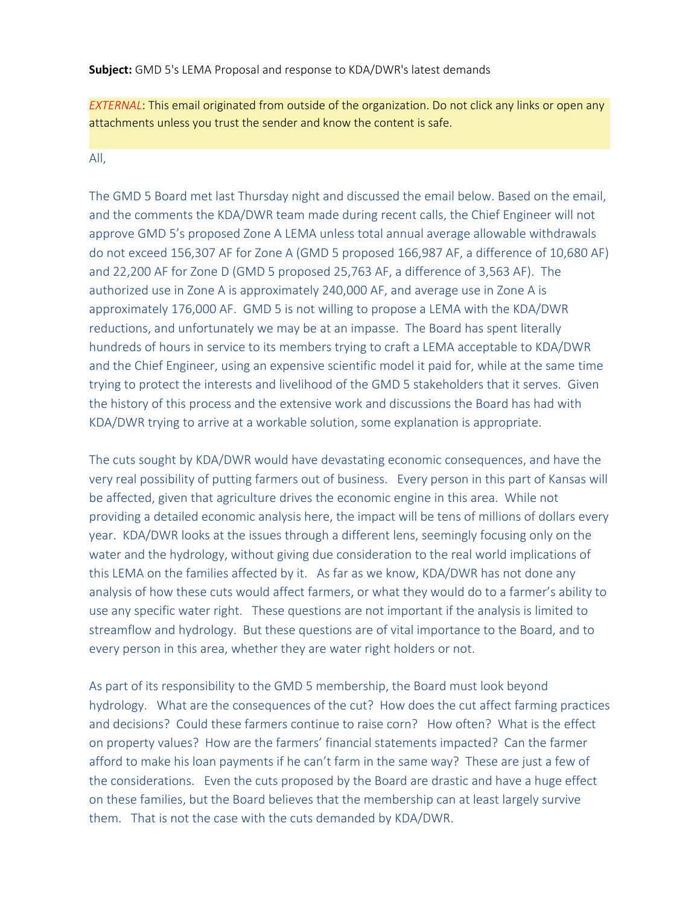**Subject:** GMD 5's LEMA Proposal and response to KDA/DWR's latest demands

*EXTERNAL*: This email originated from outside of the organization. Do not click any links or open any attachments unless you trust the sender and know the content is safe.

## All,

The GMD 5 Board met last Thursday night and discussed the email below. Based on the email, and the comments the KDA/DWR team made during recent calls, the Chief Engineer will not approve GMD 5's proposed Zone A LEMA unless total annual average allowable withdrawals do not exceed 156,307 AF for Zone A (GMD 5 proposed 166,987 AF, a difference of 10,680 AF) and 22,200 AF for Zone D (GMD 5 proposed 25,763 AF, a difference of 3,563 AF). The authorized use in Zone A is approximately 240,000 AF, and average use in Zone A is approximately 176,000 AF. GMD 5 is not willing to propose a LEMA with the KDA/DWR reductions, and unfortunately we may be at an impasse. The Board has spent literally hundreds of hours in service to its members trying to craft a LEMA acceptable to KDA/DWR and the Chief Engineer, using an expensive scientific model it paid for, while at the same time trying to protect the interests and livelihood of the GMD 5 stakeholders that it serves. Given the history of this process and the extensive work and discussions the Board has had with KDA/DWR trying to arrive at a workable solution, some explanation is appropriate.

The cuts sought by KDA/DWR would have devastating economic consequences, and have the very real possibility of putting farmers out of business. Every person in this part of Kansas will be affected, given that agriculture drives the economic engine in this area. While not providing a detailed economic analysis here, the impact will be tens of millions of dollars every year. KDA/DWR looks at the issues through a different lens, seemingly focusing only on the water and the hydrology, without giving due consideration to the real world implications of this LEMA on the families affected by it. As far as we know, KDA/DWR has not done any analysis of how these cuts would affect farmers, or what they would do to a farmer's ability to use any specific water right. These questions are not important if the analysis is limited to streamflow and hydrology. But these questions are of vital importance to the Board, and to every person in this area, whether they are water right holders or not.

As part of its responsibility to the GMD 5 membership, the Board must look beyond hydrology. What are the consequences of the cut? How does the cut affect farming practices and decisions? Could these farmers continue to raise corn? How often? What is the effect on property values? How are the farmers' financial statements impacted? Can the farmer afford to make his loan payments if he can't farm in the same way? These are just a few of the considerations. Even the cuts proposed by the Board are drastic and have a huge effect on these families, but the Board believes that the membership can at least largely survive them. That is not the case with the cuts demanded by KDA/DWR.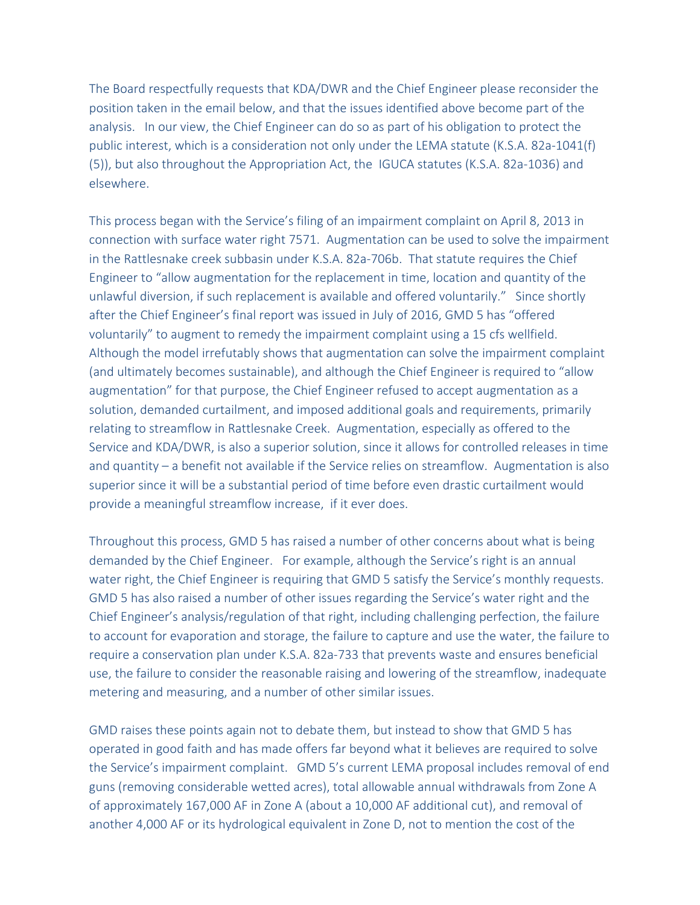The Board respectfully requests that KDA/DWR and the Chief Engineer please reconsider the position taken in the email below, and that the issues identified above become part of the analysis. In our view, the Chief Engineer can do so as part of his obligation to protect the public interest, which is a consideration not only under the LEMA statute (K.S.A. 82a-1041(f) (5)), but also throughout the Appropriation Act, the IGUCA statutes (K.S.A. 82a-1036) and elsewhere.

This process began with the Service's filing of an impairment complaint on April 8, 2013 in connection with surface water right 7571. Augmentation can be used to solve the impairment in the Rattlesnake creek subbasin under K.S.A. 82a-706b. That statute requires the Chief Engineer to "allow augmentation for the replacement in time, location and quantity of the unlawful diversion, if such replacement is available and offered voluntarily." Since shortly after the Chief Engineer's final report was issued in July of 2016, GMD 5 has "offered voluntarily" to augment to remedy the impairment complaint using a 15 cfs wellfield. Although the model irrefutably shows that augmentation can solve the impairment complaint (and ultimately becomes sustainable), and although the Chief Engineer is required to "allow augmentation" for that purpose, the Chief Engineer refused to accept augmentation as a solution, demanded curtailment, and imposed additional goals and requirements, primarily relating to streamflow in Rattlesnake Creek. Augmentation, especially as offered to the Service and KDA/DWR, is also a superior solution, since it allows for controlled releases in time and quantity – a benefit not available if the Service relies on streamflow. Augmentation is also superior since it will be a substantial period of time before even drastic curtailment would provide a meaningful streamflow increase, if it ever does.

Throughout this process, GMD 5 has raised a number of other concerns about what is being demanded by the Chief Engineer. For example, although the Service's right is an annual water right, the Chief Engineer is requiring that GMD 5 satisfy the Service's monthly requests. GMD 5 has also raised a number of other issues regarding the Service's water right and the Chief Engineer's analysis/regulation of that right, including challenging perfection, the failure to account for evaporation and storage, the failure to capture and use the water, the failure to require a conservation plan under K.S.A. 82a-733 that prevents waste and ensures beneficial use, the failure to consider the reasonable raising and lowering of the streamflow, inadequate metering and measuring, and a number of other similar issues.

GMD raises these points again not to debate them, but instead to show that GMD 5 has operated in good faith and has made offers far beyond what it believes are required to solve the Service's impairment complaint. GMD 5's current LEMA proposal includes removal of end guns (removing considerable wetted acres), total allowable annual withdrawals from Zone A of approximately 167,000 AF in Zone A (about a 10,000 AF additional cut), and removal of another 4,000 AF or its hydrological equivalent in Zone D, not to mention the cost of the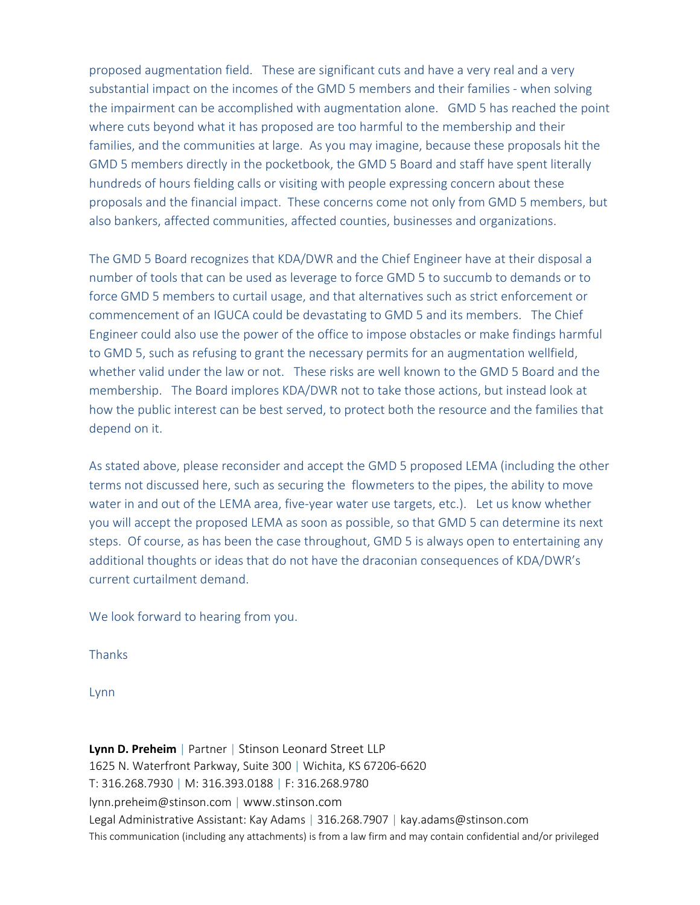proposed augmentation field. These are significant cuts and have a very real and a very substantial impact on the incomes of the GMD 5 members and their families - when solving the impairment can be accomplished with augmentation alone. GMD 5 has reached the point where cuts beyond what it has proposed are too harmful to the membership and their families, and the communities at large. As you may imagine, because these proposals hit the GMD 5 members directly in the pocketbook, the GMD 5 Board and staff have spent literally hundreds of hours fielding calls or visiting with people expressing concern about these proposals and the financial impact. These concerns come not only from GMD 5 members, but also bankers, affected communities, affected counties, businesses and organizations.

The GMD 5 Board recognizes that KDA/DWR and the Chief Engineer have at their disposal a number of tools that can be used as leverage to force GMD 5 to succumb to demands or to force GMD 5 members to curtail usage, and that alternatives such as strict enforcement or commencement of an IGUCA could be devastating to GMD 5 and its members. The Chief Engineer could also use the power of the office to impose obstacles or make findings harmful to GMD 5, such as refusing to grant the necessary permits for an augmentation wellfield, whether valid under the law or not. These risks are well known to the GMD 5 Board and the membership. The Board implores KDA/DWR not to take those actions, but instead look at how the public interest can be best served, to protect both the resource and the families that depend on it.

As stated above, please reconsider and accept the GMD 5 proposed LEMA (including the other terms not discussed here, such as securing the flowmeters to the pipes, the ability to move water in and out of the LEMA area, five-year water use targets, etc.). Let us know whether you will accept the proposed LEMA as soon as possible, so that GMD 5 can determine its next steps. Of course, as has been the case throughout, GMD 5 is always open to entertaining any additional thoughts or ideas that do not have the draconian consequences of KDA/DWR's current curtailment demand.

We look forward to hearing from you.

Thanks

Lynn

**Lynn D. Preheim** | Partner | Stinson Leonard Street LLP 1625 N. Waterfront Parkway, Suite 300 | Wichita, KS 67206-6620 T: 316.268.7930 | M: 316.393.0188 | F: 316.268.9780 lynn.preheim@stinson.com | www.stinson.com Legal Administrative Assistant: Kay Adams | 316.268.7907 | kay.adams@stinson.com This communication (including any attachments) is from a law firm and may contain confidential and/or privileged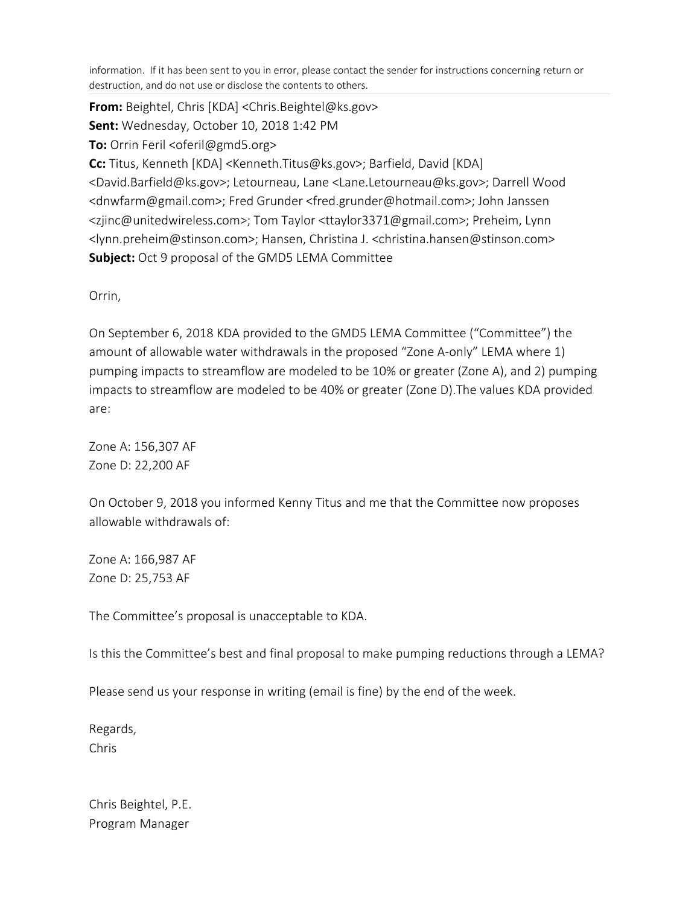information. If it has been sent to you in error, please contact the sender for instructions concerning return or destruction, and do not use or disclose the contents to others.

**From:** Beightel, Chris [KDA] <Chris.Beightel@ks.gov> **Sent:** Wednesday, October 10, 2018 1:42 PM **To:** Orrin Feril <oferil@gmd5.org> **Cc:** Titus, Kenneth [KDA] <Kenneth.Titus@ks.gov>; Barfield, David [KDA] <David.Barfield@ks.gov>; Letourneau, Lane <Lane.Letourneau@ks.gov>; Darrell Wood <dnwfarm@gmail.com>; Fred Grunder <fred.grunder@hotmail.com>; John Janssen <zjinc@unitedwireless.com>; Tom Taylor <ttaylor3371@gmail.com>; Preheim, Lynn <lynn.preheim@stinson.com>; Hansen, Christina J. <christina.hansen@stinson.com> **Subject:** Oct 9 proposal of the GMD5 LEMA Committee

Orrin,

On September 6, 2018 KDA provided to the GMD5 LEMA Committee ("Committee") the amount of allowable water withdrawals in the proposed "Zone A-only" LEMA where 1) pumping impacts to streamflow are modeled to be 10% or greater (Zone A), and 2) pumping impacts to streamflow are modeled to be 40% or greater (Zone D).The values KDA provided are:

Zone A: 156,307 AF Zone D: 22,200 AF

On October 9, 2018 you informed Kenny Titus and me that the Committee now proposes allowable withdrawals of:

Zone A: 166,987 AF Zone D: 25,753 AF

The Committee's proposal is unacceptable to KDA.

Is this the Committee's best and final proposal to make pumping reductions through a LEMA?

Please send us your response in writing (email is fine) by the end of the week.

Regards, Chris

Chris Beightel, P.E. Program Manager